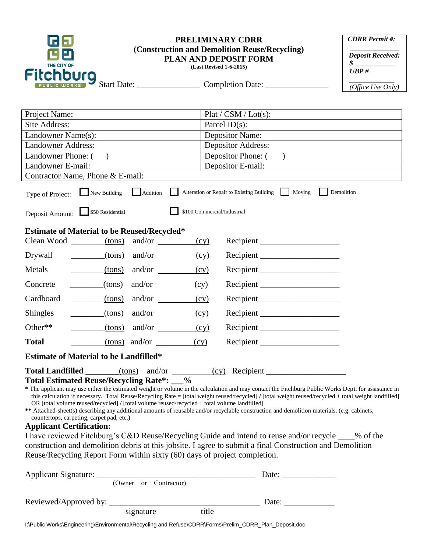| THE CITY OF                                                                                                                                                                                                                                                                                                                                                                                                                                                                                                                                                                                                                                                                                                                                                                   | <b>PRELIMINARY CDRR</b><br>(Construction and Demolition Reuse/Recycling)<br><b>PLAN AND DEPOSIT FORM</b><br>(Last Revised 1-6-2015) |                              |           | <b>CDRR</b> Permit#:<br><b>Deposit Received:</b><br>$\oint_{-\infty}$<br>UBP# |  |  |
|-------------------------------------------------------------------------------------------------------------------------------------------------------------------------------------------------------------------------------------------------------------------------------------------------------------------------------------------------------------------------------------------------------------------------------------------------------------------------------------------------------------------------------------------------------------------------------------------------------------------------------------------------------------------------------------------------------------------------------------------------------------------------------|-------------------------------------------------------------------------------------------------------------------------------------|------------------------------|-----------|-------------------------------------------------------------------------------|--|--|
| <b>Fitchburg</b>                                                                                                                                                                                                                                                                                                                                                                                                                                                                                                                                                                                                                                                                                                                                                              |                                                                                                                                     | Start Date: Completion Date: |           | (Office Use Only)                                                             |  |  |
|                                                                                                                                                                                                                                                                                                                                                                                                                                                                                                                                                                                                                                                                                                                                                                               |                                                                                                                                     |                              |           |                                                                               |  |  |
| Project Name:                                                                                                                                                                                                                                                                                                                                                                                                                                                                                                                                                                                                                                                                                                                                                                 |                                                                                                                                     | Plat / CSM / Lot(s):         |           |                                                                               |  |  |
| Site Address:                                                                                                                                                                                                                                                                                                                                                                                                                                                                                                                                                                                                                                                                                                                                                                 |                                                                                                                                     | Parcel $ID(s)$ :             |           |                                                                               |  |  |
| Landowner Name(s):                                                                                                                                                                                                                                                                                                                                                                                                                                                                                                                                                                                                                                                                                                                                                            |                                                                                                                                     | <b>Depositor Name:</b>       |           |                                                                               |  |  |
| <b>Landowner Address:</b>                                                                                                                                                                                                                                                                                                                                                                                                                                                                                                                                                                                                                                                                                                                                                     |                                                                                                                                     | <b>Depositor Address:</b>    |           |                                                                               |  |  |
| Landowner Phone: (                                                                                                                                                                                                                                                                                                                                                                                                                                                                                                                                                                                                                                                                                                                                                            |                                                                                                                                     | Depositor Phone: (           |           |                                                                               |  |  |
| Landowner E-mail:                                                                                                                                                                                                                                                                                                                                                                                                                                                                                                                                                                                                                                                                                                                                                             |                                                                                                                                     | Depositor E-mail:            |           |                                                                               |  |  |
| Contractor Name, Phone & E-mail:                                                                                                                                                                                                                                                                                                                                                                                                                                                                                                                                                                                                                                                                                                                                              |                                                                                                                                     |                              |           |                                                                               |  |  |
| New Building<br>Addition<br>Alteration or Repair to Existing Building<br>Demolition<br>Moving<br>Type of Project:                                                                                                                                                                                                                                                                                                                                                                                                                                                                                                                                                                                                                                                             |                                                                                                                                     |                              |           |                                                                               |  |  |
| \$100 Commercial/Industrial<br>\$50 Residential<br>Deposit Amount:                                                                                                                                                                                                                                                                                                                                                                                                                                                                                                                                                                                                                                                                                                            |                                                                                                                                     |                              |           |                                                                               |  |  |
| <b>Estimate of Material to be Reused/Recycled*</b><br>$Clean Wood$ (tons) and/or<br>(cy)                                                                                                                                                                                                                                                                                                                                                                                                                                                                                                                                                                                                                                                                                      |                                                                                                                                     |                              |           |                                                                               |  |  |
| Drywall                                                                                                                                                                                                                                                                                                                                                                                                                                                                                                                                                                                                                                                                                                                                                                       | $(tons)$ and/or $\qquad \qquad$                                                                                                     | (cy)                         |           |                                                                               |  |  |
| Metals<br>$_{\rm (tons)}$                                                                                                                                                                                                                                                                                                                                                                                                                                                                                                                                                                                                                                                                                                                                                     | and/or $\qquad \qquad$                                                                                                              | (cy)                         | Recipient |                                                                               |  |  |
| $_{\rm (tons)}$<br>Concrete                                                                                                                                                                                                                                                                                                                                                                                                                                                                                                                                                                                                                                                                                                                                                   | and/or                                                                                                                              | (cy)                         |           |                                                                               |  |  |
| Cardboard<br>(tons)                                                                                                                                                                                                                                                                                                                                                                                                                                                                                                                                                                                                                                                                                                                                                           | and/or $\qquad \qquad$                                                                                                              | (cy)                         | Recipient |                                                                               |  |  |
| <b>Shingles</b><br>$_{\rm (tons)}$                                                                                                                                                                                                                                                                                                                                                                                                                                                                                                                                                                                                                                                                                                                                            | and/or                                                                                                                              | (cy)                         | Recipient |                                                                               |  |  |
| Other**<br>(tons)                                                                                                                                                                                                                                                                                                                                                                                                                                                                                                                                                                                                                                                                                                                                                             | and/or                                                                                                                              | (cy)                         |           |                                                                               |  |  |
| <b>Total</b>                                                                                                                                                                                                                                                                                                                                                                                                                                                                                                                                                                                                                                                                                                                                                                  | $(tons)$ and/or $(cy)$                                                                                                              |                              | Recipient |                                                                               |  |  |
| <b>Estimate of Material to be Landfilled*</b>                                                                                                                                                                                                                                                                                                                                                                                                                                                                                                                                                                                                                                                                                                                                 |                                                                                                                                     |                              |           |                                                                               |  |  |
| Total Landfilled ________(tons) and/or ________(cy) Recipient __________________<br>Total Estimated Reuse/Recycling Rate*: _ %<br>* The applicant may use either the estimated weight or volume in the calculation and may contact the Fitchburg Public Works Dept. for assistance in<br>this calculation if necessary. Total Reuse/Recycling Rate = [total weight reused/recycled] / [total weight reused/recycled + total weight landfilled]<br>OR [total volume reused/recycled] / [total volume reused/recycled + total volume landfilled]<br>** Attached-sheet(s) describing any additional amounts of reusable and/or recyclable construction and demolition materials. (e.g. cabinets,<br>countertops, carpeting, carpet pad, etc.)<br><b>Applicant Certification:</b> |                                                                                                                                     |                              |           |                                                                               |  |  |
| I have reviewed Fitchburg's C&D Reuse/Recycling Guide and intend to reuse and/or recycle ____% of the                                                                                                                                                                                                                                                                                                                                                                                                                                                                                                                                                                                                                                                                         |                                                                                                                                     |                              |           |                                                                               |  |  |
| construction and demolition debris at this jobsite. I agree to submit a final Construction and Demolition<br>Reuse/Recycling Report Form within sixty (60) days of project completion.                                                                                                                                                                                                                                                                                                                                                                                                                                                                                                                                                                                        |                                                                                                                                     |                              |           |                                                                               |  |  |
|                                                                                                                                                                                                                                                                                                                                                                                                                                                                                                                                                                                                                                                                                                                                                                               |                                                                                                                                     |                              |           |                                                                               |  |  |
|                                                                                                                                                                                                                                                                                                                                                                                                                                                                                                                                                                                                                                                                                                                                                                               |                                                                                                                                     |                              |           |                                                                               |  |  |
|                                                                                                                                                                                                                                                                                                                                                                                                                                                                                                                                                                                                                                                                                                                                                                               |                                                                                                                                     |                              |           |                                                                               |  |  |
| signature<br>title                                                                                                                                                                                                                                                                                                                                                                                                                                                                                                                                                                                                                                                                                                                                                            |                                                                                                                                     |                              |           |                                                                               |  |  |

I:\Public Works\Engineering\Environmental\Recycling and Refuse\CDRR\Forms\Prelim\_CDRR\_Plan\_Deposit.doc